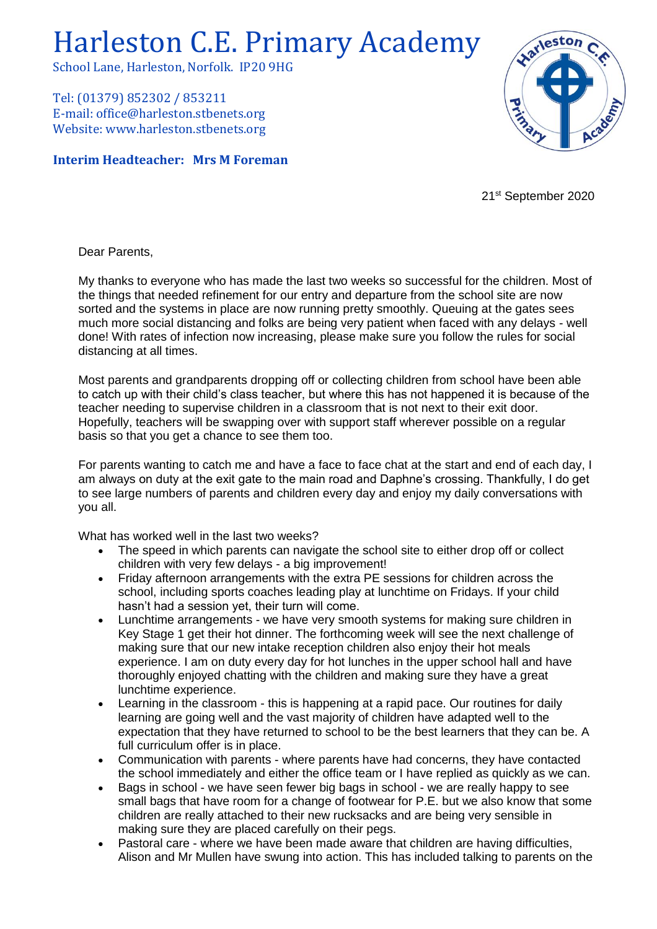## Harleston C.E. Primary Academy

School Lane, Harleston, Norfolk. IP20 9HG

Tel: (01379) 852302 / 853211 E-mail: office@harleston.stbenets.org Website: www.harleston.stbenets.org

## **Interim Headteacher: Mrs M Foreman**



21st September 2020

Dear Parents,

My thanks to everyone who has made the last two weeks so successful for the children. Most of the things that needed refinement for our entry and departure from the school site are now sorted and the systems in place are now running pretty smoothly. Queuing at the gates sees much more social distancing and folks are being very patient when faced with any delays - well done! With rates of infection now increasing, please make sure you follow the rules for social distancing at all times.

Most parents and grandparents dropping off or collecting children from school have been able to catch up with their child's class teacher, but where this has not happened it is because of the teacher needing to supervise children in a classroom that is not next to their exit door. Hopefully, teachers will be swapping over with support staff wherever possible on a regular basis so that you get a chance to see them too.

For parents wanting to catch me and have a face to face chat at the start and end of each day, I am always on duty at the exit gate to the main road and Daphne's crossing. Thankfully, I do get to see large numbers of parents and children every day and enjoy my daily conversations with you all.

What has worked well in the last two weeks?

- The speed in which parents can navigate the school site to either drop off or collect children with very few delays - a big improvement!
- Friday afternoon arrangements with the extra PE sessions for children across the school, including sports coaches leading play at lunchtime on Fridays. If your child hasn't had a session yet, their turn will come.
- Lunchtime arrangements we have very smooth systems for making sure children in Key Stage 1 get their hot dinner. The forthcoming week will see the next challenge of making sure that our new intake reception children also enjoy their hot meals experience. I am on duty every day for hot lunches in the upper school hall and have thoroughly enjoyed chatting with the children and making sure they have a great lunchtime experience.
- Learning in the classroom this is happening at a rapid pace. Our routines for daily learning are going well and the vast majority of children have adapted well to the expectation that they have returned to school to be the best learners that they can be. A full curriculum offer is in place.
- Communication with parents where parents have had concerns, they have contacted the school immediately and either the office team or I have replied as quickly as we can.
- Bags in school we have seen fewer big bags in school we are really happy to see small bags that have room for a change of footwear for P.E. but we also know that some children are really attached to their new rucksacks and are being very sensible in making sure they are placed carefully on their pegs.
- Pastoral care where we have been made aware that children are having difficulties, Alison and Mr Mullen have swung into action. This has included talking to parents on the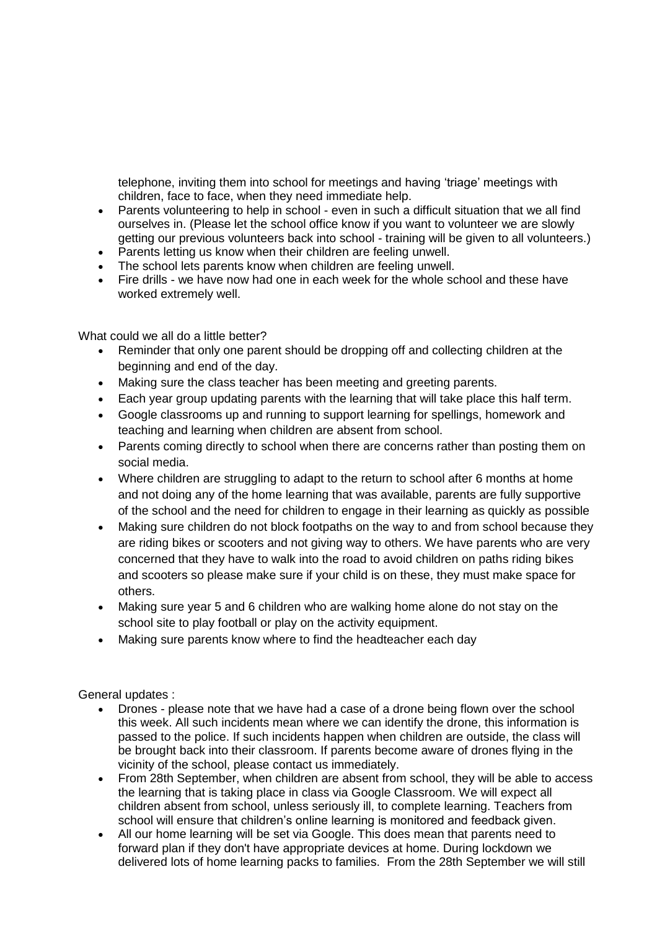telephone, inviting them into school for meetings and having 'triage' meetings with children, face to face, when they need immediate help.

- Parents volunteering to help in school even in such a difficult situation that we all find ourselves in. (Please let the school office know if you want to volunteer we are slowly getting our previous volunteers back into school - training will be given to all volunteers.)
- Parents letting us know when their children are feeling unwell.
- The school lets parents know when children are feeling unwell.
- Fire drills we have now had one in each week for the whole school and these have worked extremely well.

What could we all do a little better?

- Reminder that only one parent should be dropping off and collecting children at the beginning and end of the day.
- Making sure the class teacher has been meeting and greeting parents.
- Each year group updating parents with the learning that will take place this half term.
- Google classrooms up and running to support learning for spellings, homework and teaching and learning when children are absent from school.
- Parents coming directly to school when there are concerns rather than posting them on social media.
- Where children are struggling to adapt to the return to school after 6 months at home and not doing any of the home learning that was available, parents are fully supportive of the school and the need for children to engage in their learning as quickly as possible
- Making sure children do not block footpaths on the way to and from school because they are riding bikes or scooters and not giving way to others. We have parents who are very concerned that they have to walk into the road to avoid children on paths riding bikes and scooters so please make sure if your child is on these, they must make space for others.
- Making sure year 5 and 6 children who are walking home alone do not stay on the school site to play football or play on the activity equipment.
- Making sure parents know where to find the headteacher each day

General updates :

- Drones please note that we have had a case of a drone being flown over the school this week. All such incidents mean where we can identify the drone, this information is passed to the police. If such incidents happen when children are outside, the class will be brought back into their classroom. If parents become aware of drones flying in the vicinity of the school, please contact us immediately.
- From 28th September, when children are absent from school, they will be able to access the learning that is taking place in class via Google Classroom. We will expect all children absent from school, unless seriously ill, to complete learning. Teachers from school will ensure that children's online learning is monitored and feedback given.
- All our home learning will be set via Google. This does mean that parents need to forward plan if they don't have appropriate devices at home. During lockdown we delivered lots of home learning packs to families. From the 28th September we will still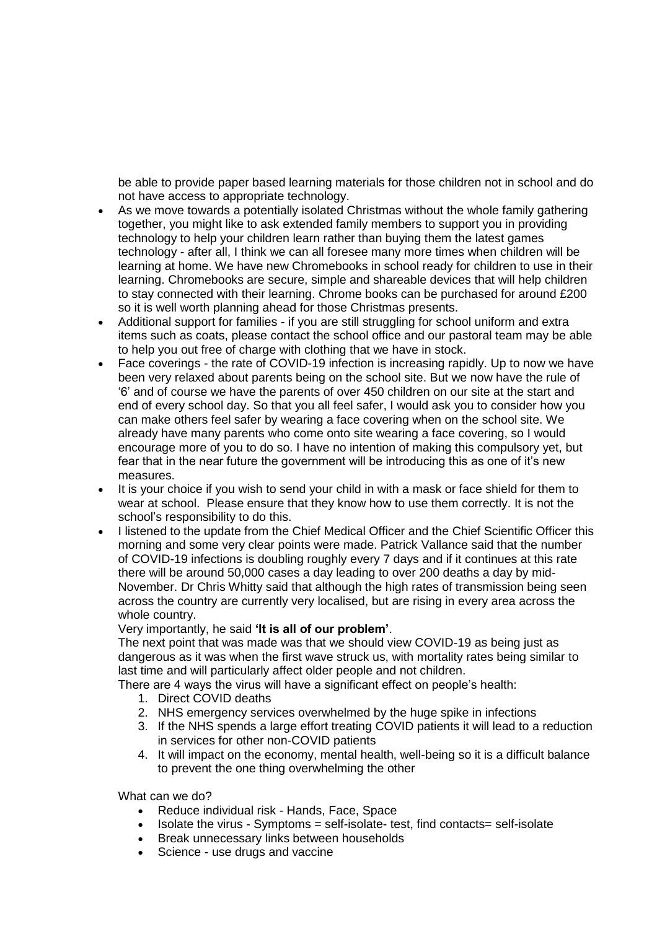be able to provide paper based learning materials for those children not in school and do not have access to appropriate technology.

- As we move towards a potentially isolated Christmas without the whole family gathering together, you might like to ask extended family members to support you in providing technology to help your children learn rather than buying them the latest games technology - after all, I think we can all foresee many more times when children will be learning at home. We have new Chromebooks in school ready for children to use in their learning. Chromebooks are secure, simple and shareable devices that will help children to stay connected with their learning. Chrome books can be purchased for around £200 so it is well worth planning ahead for those Christmas presents.
- Additional support for families if you are still struggling for school uniform and extra items such as coats, please contact the school office and our pastoral team may be able to help you out free of charge with clothing that we have in stock.
- Face coverings the rate of COVID-19 infection is increasing rapidly. Up to now we have been very relaxed about parents being on the school site. But we now have the rule of '6' and of course we have the parents of over 450 children on our site at the start and end of every school day. So that you all feel safer, I would ask you to consider how you can make others feel safer by wearing a face covering when on the school site. We already have many parents who come onto site wearing a face covering, so I would encourage more of you to do so. I have no intention of making this compulsory yet, but fear that in the near future the government will be introducing this as one of it's new measures.
- It is your choice if you wish to send your child in with a mask or face shield for them to wear at school. Please ensure that they know how to use them correctly. It is not the school's responsibility to do this.
- I listened to the update from the Chief Medical Officer and the Chief Scientific Officer this morning and some very clear points were made. Patrick Vallance said that the number of COVID-19 infections is doubling roughly every 7 days and if it continues at this rate there will be around 50,000 cases a day leading to over 200 deaths a day by mid-November. Dr Chris Whitty said that although the high rates of transmission being seen across the country are currently very localised, but are rising in every area across the whole country.

Very importantly, he said **'It is all of our problem'**.

The next point that was made was that we should view COVID-19 as being just as dangerous as it was when the first wave struck us, with mortality rates being similar to last time and will particularly affect older people and not children.

There are 4 ways the virus will have a significant effect on people's health:

- 1. Direct COVID deaths
- 2. NHS emergency services overwhelmed by the huge spike in infections
- 3. If the NHS spends a large effort treating COVID patients it will lead to a reduction in services for other non-COVID patients
- 4. It will impact on the economy, mental health, well-being so it is a difficult balance to prevent the one thing overwhelming the other

What can we do?

- Reduce individual risk Hands, Face, Space
- Isolate the virus Symptoms = self-isolate- test, find contacts= self-isolate
- Break unnecessary links between households
- Science use drugs and vaccine